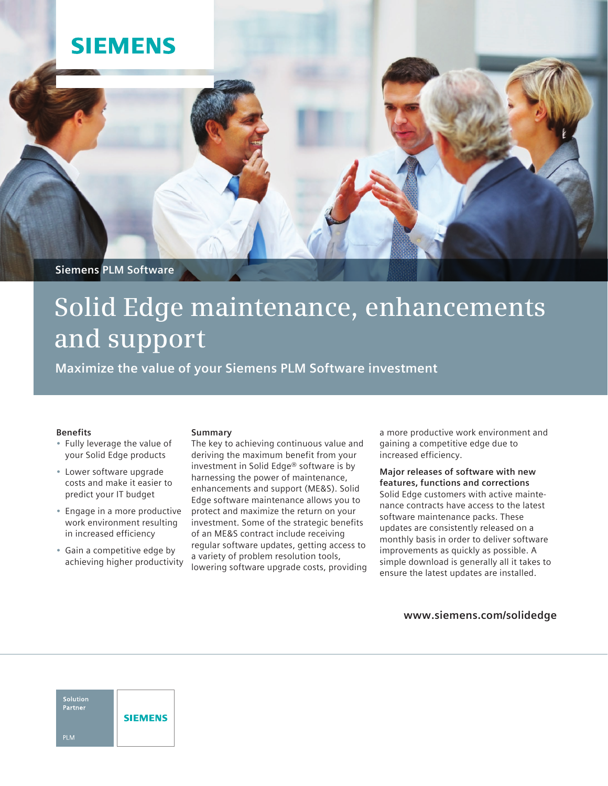

# **Solid Edge maintenance, enhancements and support**

**Maximize the value of your Siemens PLM Software investment**

### **Benefits**

- Fully leverage the value of your Solid Edge products
- Lower software upgrade costs and make it easier to predict your IT budget
- Engage in a more productive work environment resulting in increased efficiency
- Gain a competitive edge by achieving higher productivity

#### **Summary**

The key to achieving continuous value and deriving the maximum benefit from your investment in Solid Edge® software is by harnessing the power of maintenance, enhancements and support (ME&S). Solid Edge software maintenance allows you to protect and maximize the return on your investment. Some of the strategic benefits of an ME&S contract include receiving regular software updates, getting access to a variety of problem resolution tools, lowering software upgrade costs, providing a more productive work environment and gaining a competitive edge due to increased efficiency.

**Major releases of software with new features, functions and corrections** Solid Edge customers with active maintenance contracts have access to the latest software maintenance packs. These updates are consistently released on a monthly basis in order to deliver software improvements as quickly as possible. A simple download is generally all it takes to ensure the latest updates are installed.

**[www.siemens.com/s](http://www.siemens.com/solidedge)olidedge**

**Solution** Partner **SIEMENS PLM**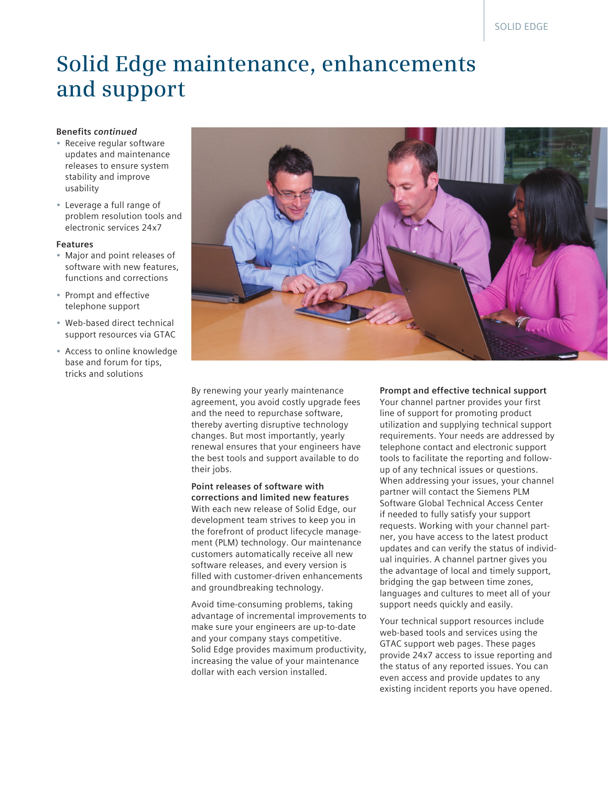## **Solid Edge maintenance, enhancements and support**

#### **Benefits** *continued*

- Receive regular software updates and maintenance releases to ensure system stability and improve usability
- Leverage a full range of problem resolution tools and electronic services 24x7

#### **Features**

- Major and point releases of software with new features, functions and corrections
- Prompt and effective telephone support
- Web-based direct technical support resources via GTAC
- Access to online knowledge base and forum for tips, tricks and solutions



By renewing your yearly maintenance agreement, you avoid costly upgrade fees and the need to repurchase software, thereby averting disruptive technology changes. But most importantly, yearly renewal ensures that your engineers have the best tools and support available to do their jobs.

#### **Point releases of software with corrections and limited new features**

With each new release of Solid Edge, our development team strives to keep you in the forefront of product lifecycle management (PLM) technology. Our maintenance customers automatically receive all new software releases, and every version is filled with customer-driven enhancements and groundbreaking technology.

Avoid time-consuming problems, taking advantage of incremental improvements to make sure your engineers are up-to-date and your company stays competitive. Solid Edge provides maximum productivity, increasing the value of your maintenance dollar with each version installed.

**Prompt and effective technical support** Your channel partner provides your first

line of support for promoting product utilization and supplying technical support requirements. Your needs are addressed by telephone contact and electronic support tools to facilitate the reporting and followup of any technical issues or questions. When addressing your issues, your channel partner will contact the Siemens PLM Software Global Technical Access Center if needed to fully satisfy your support requests. Working with your channel partner, you have access to the latest product updates and can verify the status of individual inquiries. A channel partner gives you the advantage of local and timely support, bridging the gap between time zones, languages and cultures to meet all of your support needs quickly and easily.

Your technical support resources include web-based tools and services using the GTAC support web pages. These pages provide 24x7 access to issue reporting and the status of any reported issues. You can even access and provide updates to any existing incident reports you have opened.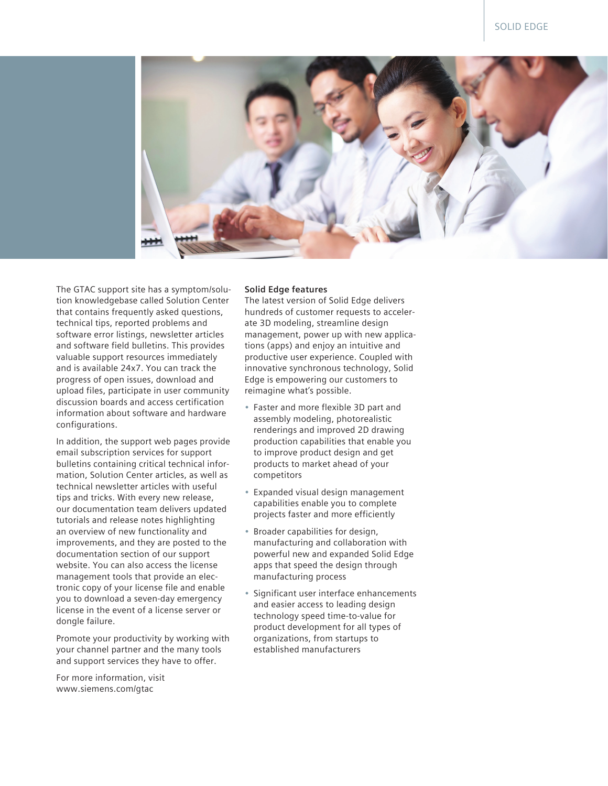

The GTAC support site has a symptom/solution knowledgebase called Solution Center that contains frequently asked questions, technical tips, reported problems and software error listings, newsletter articles and software field bulletins. This provides valuable support resources immediately and is available 24x7. You can track the progress of open issues, download and upload files, participate in user community discussion boards and access certification information about software and hardware configurations.

In addition, the support web pages provide email subscription services for support bulletins containing critical technical information, Solution Center articles, as well as technical newsletter articles with useful tips and tricks. With every new release, our documentation team delivers updated tutorials and release notes highlighting an overview of new functionality and improvements, and they are posted to the documentation section of our support website. You can also access the license management tools that provide an electronic copy of your license file and enable you to download a seven-day emergency license in the event of a license server or dongle failure.

Promote your productivity by working with your channel partner and the many tools and support services they have to offer.

For more information, visit [www.siemens.com/gtac](http://www.siemens.com/gtac)

#### **Solid Edge features**

The latest version of Solid Edge delivers hundreds of customer requests to accelerate 3D modeling, streamline design management, power up with new applications (apps) and enjoy an intuitive and productive user experience. Coupled with innovative synchronous technology, Solid Edge is empowering our customers to reimagine what's possible.

- Faster and more flexible 3D part and assembly modeling, photorealistic renderings and improved 2D drawing production capabilities that enable you to improve product design and get products to market ahead of your competitors
- Expanded visual design management capabilities enable you to complete projects faster and more efficiently
- Broader capabilities for design, manufacturing and collaboration with powerful new and expanded Solid Edge apps that speed the design through manufacturing process
- Significant user interface enhancements and easier access to leading design technology speed time-to-value for product development for all types of organizations, from startups to established manufacturers